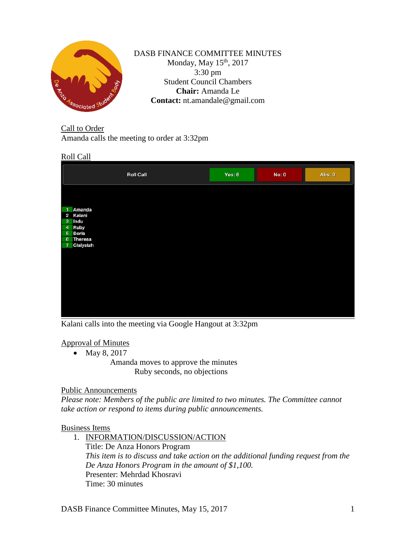

DASB FINANCE COMMITTEE MINUTES Monday, May  $15<sup>th</sup>$ , 2017 3:30 pm Student Council Chambers **Chair:** Amanda Le **Contact:** nt.amandale@gmail.com

Call to Order Amanda calls the meeting to order at 3:32pm

# Roll Call

|                | <b>Roll Call</b> | Yes: 6 | <b>No: 0</b> | Abs: 0 |
|----------------|------------------|--------|--------------|--------|
|                |                  |        |              |        |
|                |                  |        |              |        |
| $\mathbf{1}$   | Amanda           |        |              |        |
|                | 2 Kalani         |        |              |        |
| $\mathbf{3}$   | Indu             |        |              |        |
| $\overline{4}$ | <b>Ruby</b>      |        |              |        |
|                | 5 Boris          |        |              |        |
|                | 6 Theresa        |        |              |        |
| $\overline{7}$ | Cialysiah        |        |              |        |
|                |                  |        |              |        |
|                |                  |        |              |        |
|                |                  |        |              |        |
|                |                  |        |              |        |
|                |                  |        |              |        |
|                |                  |        |              |        |
|                |                  |        |              |        |
|                |                  |        |              |        |
|                |                  |        |              |        |
|                |                  |        |              |        |
|                |                  |        |              |        |

Kalani calls into the meeting via Google Hangout at 3:32pm

## Approval of Minutes

• May 8, 2017

Amanda moves to approve the minutes Ruby seconds, no objections

## Public Announcements

*Please note: Members of the public are limited to two minutes. The Committee cannot take action or respond to items during public announcements.* 

# Business Items

1. INFORMATION/DISCUSSION/ACTION

Title: De Anza Honors Program *This item is to discuss and take action on the additional funding request from the De Anza Honors Program in the amount of \$1,100.* Presenter: Mehrdad Khosravi Time: 30 minutes